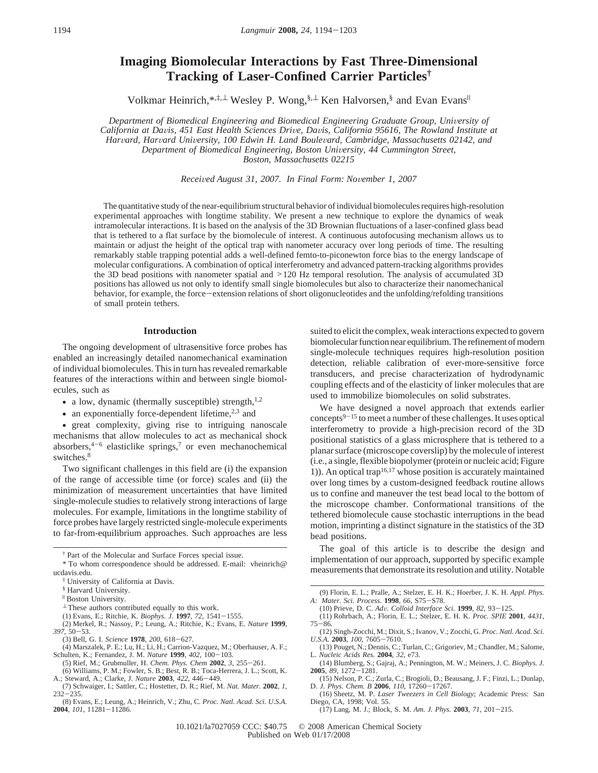# **Imaging Biomolecular Interactions by Fast Three-Dimensional Tracking of Laser-Confined Carrier Particles†**

Volkmar Heinrich,<sup>\*,‡,⊥</sup> Wesley P. Wong,<sup>§,⊥</sup> Ken Halvorsen,<sup>§</sup> and Evan Evans<sup>||</sup>

*Department of Biomedical Engineering and Biomedical Engineering Graduate Group, University of California at Da*V*is, 451 East Health Sciences Dri*V*e, Da*V*is, California 95616, The Rowland Institute at Har*V*ard, Har*V*ard Uni*V*ersity, 100 Edwin H. Land Boule*V*ard, Cambridge, Massachusetts 02142, and Department of Biomedical Engineering, Boston University, 44 Cummington Street, Boston, Massachusetts 02215*

*Recei*V*ed August 31, 2007. In Final Form: No*V*ember 1, 2007*

The quantitative study of the near-equilibrium structural behavior of individual biomolecules requires high-resolution experimental approaches with longtime stability. We present a new technique to explore the dynamics of weak intramolecular interactions. It is based on the analysis of the 3D Brownian fluctuations of a laser-confined glass bead that is tethered to a flat surface by the biomolecule of interest. A continuous autofocusing mechanism allows us to maintain or adjust the height of the optical trap with nanometer accuracy over long periods of time. The resulting remarkably stable trapping potential adds a well-defined femto-to-piconewton force bias to the energy landscape of molecular configurations. A combination of optical interferometry and advanced pattern-tracking algorithms provides the 3D bead positions with nanometer spatial and >120 Hz temporal resolution. The analysis of accumulated 3D positions has allowed us not only to identify small single biomolecules but also to characterize their nanomechanical behavior, for example, the force-extension relations of short oligonucleotides and the unfolding/refolding transitions of small protein tethers.

## **Introduction**

The ongoing development of ultrasensitive force probes has enabled an increasingly detailed nanomechanical examination of individual biomolecules. This in turn has revealed remarkable features of the interactions within and between single biomolecules, such as

- a low, dynamic (thermally susceptible) strength, $1,2$
- an exponentially force-dependent lifetime, $2,3$  and

• great complexity, giving rise to intriguing nanoscale mechanisms that allow molecules to act as mechanical shock absorbers, $4-6$  elasticlike springs,<sup>7</sup> or even mechanochemical switches.8

Two significant challenges in this field are (i) the expansion of the range of accessible time (or force) scales and (ii) the minimization of measurement uncertainties that have limited single-molecule studies to relatively strong interactions of large molecules. For example, limitations in the longtime stability of force probes have largely restricted single-molecule experiments to far-from-equilibrium approaches. Such approaches are less

† Part of the Molecular and Surface Forces special issue.

\* To whom correspondence should be addressed. E-mail: vheinrich@ ucdavis.edu.

(5) Rief, M.; Grubmuller, H. *Chem. Phys. Chem* **<sup>2002</sup>**, *<sup>3</sup>*, 255-261.

suited to elicit the complex, weak interactions expected to govern biomolecular function near equilibrium. The refinement of modern single-molecule techniques requires high-resolution position detection, reliable calibration of ever-more-sensitive force transducers, and precise characterization of hydrodynamic coupling effects and of the elasticity of linker molecules that are used to immobilize biomolecules on solid substrates.

We have designed a novel approach that extends earlier concepts9-<sup>15</sup> to meet a number of these challenges. It uses optical interferometry to provide a high-precision record of the 3D positional statistics of a glass microsphere that is tethered to a planar surface (microscope coverslip) by the molecule of interest (i.e., a single, flexible biopolymer (protein or nucleic acid; Figure 1)). An optical trap<sup>16,17</sup> whose position is accurately maintained over long times by a custom-designed feedback routine allows us to confine and maneuver the test bead local to the bottom of the microscope chamber. Conformational transitions of the tethered biomolecule cause stochastic interruptions in the bead motion, imprinting a distinct signature in the statistics of the 3D bead positions.

The goal of this article is to describe the design and implementation of our approach, supported by specific example measurements that demonstrate its resolution and utility. Notable

(14) Blumberg, S.; Gajraj, A.; Pennington, M. W.; Meiners, J. C. *Biophys. J.* **<sup>2005</sup>**, *<sup>89</sup>*, 1272-1281. (15) Nelson, P. C.; Zurla, C.; Brogioli, D.; Beausang, J. F.; Finzi, L.; Dunlap,

(17) Lang, M. J.; Block, S. M. *Am. J. Phys.* **<sup>2003</sup>**, *<sup>71</sup>*, 201-215.

<sup>‡</sup> University of California at Davis.

<sup>§</sup> Harvard University.

 $\mathsf{II}$  Boston University.

 $\perp$  These authors contributed equally to this work.<br>(1) Evans, E.; Ritchie, K. *Biophys. J.* **1997**, 72, 1541–1555.

<sup>(1)</sup> Evans, E.; Ritchie, K. *Biophys. J.* **<sup>1997</sup>**, *<sup>72</sup>*, 1541-1555. (2) Merkel, R.; Nassoy, P.; Leung, A.; Ritchie, K.; Evans, E. *Nature* **1999**, *<sup>397</sup>*, 50-53.

<sup>(3)</sup> Bell, G. I. *Science* **<sup>1978</sup>**, *<sup>200</sup>*, 618-627. (4) Marszalek, P. E.; Lu, H.; Li, H.; Carrion-Vazquez, M.; Oberhauser, A. F.; Schulten, K.; Fernandez, J. M. *Nature* **<sup>1999</sup>**, *<sup>402</sup>*, 100-103.

<sup>(6)</sup> Williams, P. M.; Fowler, S. B.; Best, R. B.; Toca-Herrera, J. L.; Scott, K. A.; Steward, A.; Clarke, J. *Nature* **<sup>2003</sup>**, *<sup>422</sup>*, 446-449.

<sup>(7)</sup> Schwaiger, I.; Sattler, C.; Hostetter, D. R.; Rief, M. *Nat. Mater.* **2002**, *1*,  $232 - 235$ .

<sup>(8)</sup> Evans, E.; Leung, A.; Heinrich, V.; Zhu, C. *Proc. Natl. Acad. Sci. U.S.A.* **<sup>2004</sup>**, *<sup>101</sup>*, 11281-11286.

<sup>(9)</sup> Florin, E. L.; Pralle, A.; Stelzer, E. H. K.; Hoerber, J. K. H. *Appl. Phys. A: Mater. Sci. Process.* **<sup>1998</sup>**, *<sup>66</sup>*, S75-S78. (10) Prieve, D. C. *Ad*V*. Colloid Interface Sci.* **<sup>1999</sup>**, *<sup>82</sup>*, 93-125.

<sup>(11)</sup> Rohrbach, A.; Florin, E. L.; Stelzer, E. H. K. *Proc. SPIE* **2001**, *4431*, <sup>75</sup>-86.

<sup>(12)</sup> Singh-Zocchi, M.; Dixit, S.; Ivanov, V.; Zocchi, G. *Proc. Natl. Acad. Sci.*

*U.S.A.* **<sup>2003</sup>**, *<sup>100</sup>*, 7605-7610. (13) Pouget, N.; Dennis, C.; Turlan, C.; Grigoriev, M.; Chandler, M.; Salome, L. *Nucleic Acids Res.* **2004**, *32*, e73.

D. *J. Phys. Chem. B* **<sup>2006</sup>**, *<sup>110</sup>*, 17260-17267.

<sup>(16)</sup> Sheetz, M. P. *Laser Tweezers in Cell Biology*; Academic Press: San Diego, CA, 1998; Vol. 55.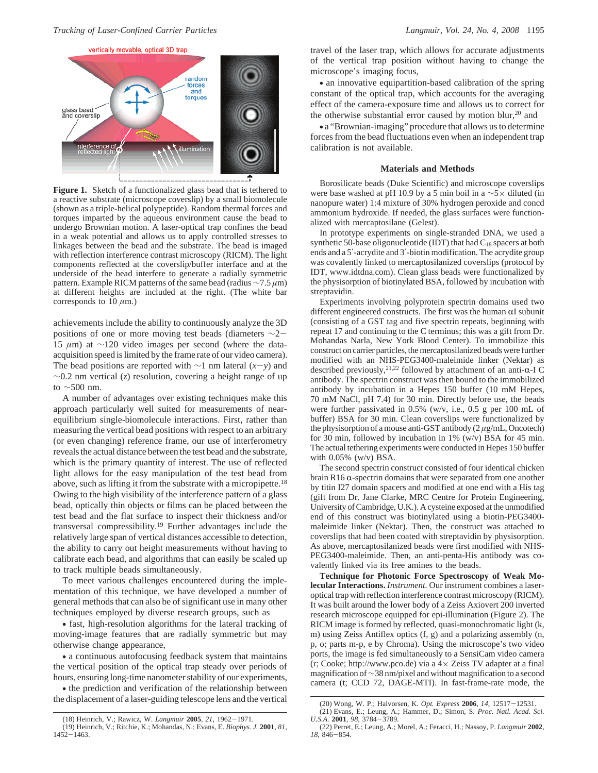

**Figure 1.** Sketch of a functionalized glass bead that is tethered to a reactive substrate (microscope coverslip) by a small biomolecule (shown as a triple-helical polypeptide). Random thermal forces and torques imparted by the aqueous environment cause the bead to undergo Brownian motion. A laser-optical trap confines the bead in a weak potential and allows us to apply controlled stresses to linkages between the bead and the substrate. The bead is imaged with reflection interference contrast microscopy (RICM). The light components reflected at the coverslip/buffer interface and at the underside of the bead interfere to generate a radially symmetric pattern. Example RICM patterns of the same bead (radius ∼7.5 *µ*m) at different heights are included at the right. (The white bar corresponds to 10  $\mu$ m.)

achievements include the ability to continuously analyze the 3D positions of one or more moving test beads (diameters <sup>∼</sup>2- 15 *µ*m) at ∼120 video images per second (where the dataacquisition speed is limited by the frame rate of our video camera). The bead positions are reported with <sup>∼</sup>1 nm lateral (*x*-*y*) and ∼0.2 nm vertical (*z*) resolution, covering a height range of up to ∼500 nm.

A number of advantages over existing techniques make this approach particularly well suited for measurements of nearequilibrium single-biomolecule interactions. First, rather than measuring the vertical bead positions with respect to an arbitrary (or even changing) reference frame, our use of interferometry reveals the actual distance between the test bead and the substrate, which is the primary quantity of interest. The use of reflected light allows for the easy manipulation of the test bead from above, such as lifting it from the substrate with a micropipette.<sup>18</sup> Owing to the high visibility of the interference pattern of a glass bead, optically thin objects or films can be placed between the test bead and the flat surface to inspect their thickness and/or transversal compressibility.19 Further advantages include the relatively large span of vertical distances accessible to detection, the ability to carry out height measurements without having to calibrate each bead, and algorithms that can easily be scaled up to track multiple beads simultaneously.

To meet various challenges encountered during the implementation of this technique, we have developed a number of general methods that can also be of significant use in many other techniques employed by diverse research groups, such as

• fast, high-resolution algorithms for the lateral tracking of moving-image features that are radially symmetric but may otherwise change appearance,

• a continuous autofocusing feedback system that maintains the vertical position of the optical trap steady over periods of hours, ensuring long-time nanometer stability of our experiments,

• the prediction and verification of the relationship between the displacement of a laser-guiding telescope lens and the vertical

travel of the laser trap, which allows for accurate adjustments of the vertical trap position without having to change the microscope's imaging focus,

• an innovative equipartition-based calibration of the spring constant of the optical trap, which accounts for the averaging effect of the camera-exposure time and allows us to correct for the otherwise substantial error caused by motion blur,<sup>20</sup> and

• a "Brownian-imaging" procedure that allows us to determine forces from the bead fluctuations even when an independent trap calibration is not available.

#### **Materials and Methods**

Borosilicate beads (Duke Scientific) and microscope coverslips were base washed at pH 10.9 by a 5 min boil in a ∼5× diluted (in nanopure water) 1:4 mixture of 30% hydrogen peroxide and concd ammonium hydroxide. If needed, the glass surfaces were functionalized with mercaptosilane (Gelest).

In prototype experiments on single-stranded DNA, we used a synthetic 50-base oligonucleotide (IDT) that had  $C_{18}$  spacers at both ends and a 5′-acrydite and 3′-biotin modification. The acrydite group was covalently linked to mercaptosilanized coverslips (protocol by IDT, www.idtdna.com). Clean glass beads were functionalized by the physisorption of biotinylated BSA, followed by incubation with streptavidin.

Experiments involving polyprotein spectrin domains used two different engineered constructs. The first was the human  $\alpha I$  subunit (consisting of a GST tag and five spectrin repeats, beginning with repeat 17 and continuing to the C terminus; this was a gift from Dr. Mohandas Narla, New York Blood Center). To immobilize this construct on carrier particles, the mercaptosilanized beads were further modified with an NHS-PEG3400-maleimide linker (Nektar) as described previously,<sup>21,22</sup> followed by attachment of an anti- $\alpha$ -I C antibody. The spectrin construct was then bound to the immobilized antibody by incubation in a Hepes 150 buffer (10 mM Hepes, 70 mM NaCl, pH 7.4) for 30 min. Directly before use, the beads were further passivated in 0.5% (w/v, i.e., 0.5 g per 100 mL of buffer) BSA for 30 min. Clean coverslips were functionalized by the physisorption of a mouse anti-GST antibody (2 *µ*g/mL, Oncotech) for 30 min, followed by incubation in 1% (w/v) BSA for 45 min. The actual tethering experiments were conducted in Hepes 150 buffer with 0.05% (w/v) BSA.

The second spectrin construct consisted of four identical chicken brain R16  $\alpha$ -spectrin domains that were separated from one another by titin I27 domain spacers and modified at one end with a His tag (gift from Dr. Jane Clarke, MRC Centre for Protein Engineering, University of Cambridge, U.K.). A cysteine exposed at the unmodified end of this construct was biotinylated using a biotin-PEG3400 maleimide linker (Nektar). Then, the construct was attached to coverslips that had been coated with streptavidin by physisorption. As above, mercaptosilanized beads were first modified with NHS-PEG3400-maleimide. Then, an anti-penta-His antibody was covalently linked via its free amines to the beads.

**Technique for Photonic Force Spectroscopy of Weak Molecular Interactions.** *Instrument.* Our instrument combines a laseroptical trap with reflection interference contrast microscopy (RICM). It was built around the lower body of a Zeiss Axiovert 200 inverted research microscope equipped for epi-illumination (Figure 2). The RICM image is formed by reflected, quasi-monochromatic light (k, m) using Zeiss Antiflex optics (f, g) and a polarizing assembly (n, p, o; parts m-p, e by Chroma). Using the microscope's two video ports, the image is fed simultaneously to a SensiCam video camera  $(r; \text{Cooke}; \text{http://www.pco.de})$  via a  $4 \times$  Zeiss TV adapter at a final magnification of∼38 nm/pixel and without magnification to a second camera (t; CCD 72, DAGE-MTI). In fast-frame-rate mode, the

<sup>(18)</sup> Heinrich, V.; Rawicz, W. *Langmuir* **<sup>2005</sup>**, *<sup>21</sup>*, 1962-1971. (19) Heinrich, V.; Ritchie, K.; Mohandas, N.; Evans, E. *Biophys. J.* **2001**, *81*, <sup>1452</sup>-1463.

<sup>(20)</sup> Wong, W. P.; Halvorsen, K. *Opt. Express* **<sup>2006</sup>**, *<sup>14</sup>*, 12517-12531.

<sup>(21)</sup> Evans, E.; Leung, A.; Hammer, D.; Simon, S. *Proc. Natl. Acad. Sci. U.S.A.* **<sup>2001</sup>**, *<sup>98</sup>*, 3784-3789.

<sup>(22)</sup> Perret, E.; Leung, A.; Morel, A.; Feracci, H.; Nassoy, P. *Langmuir* **2002**, *<sup>18</sup>*, 846-854.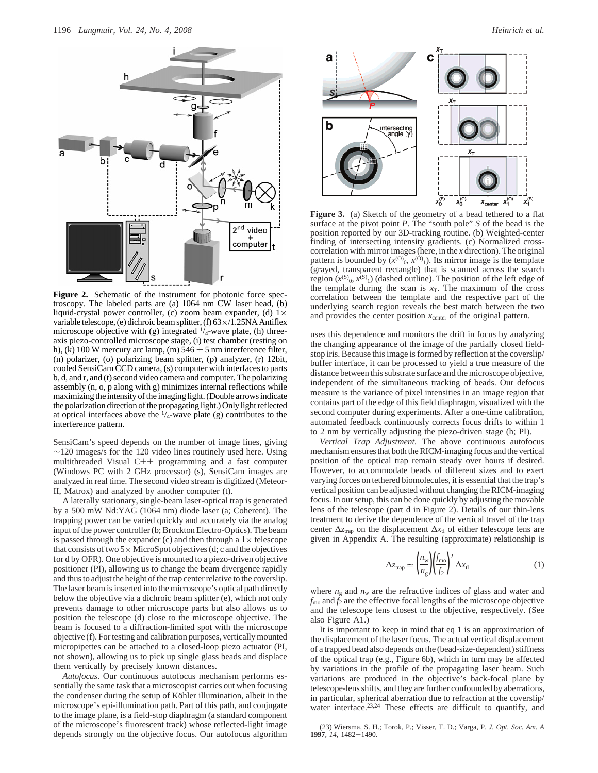

**Figure 2.** Schematic of the instrument for photonic force spectroscopy. The labeled parts are (a) 1064 nm CW laser head, (b) liquid-crystal power controller, (c) zoom beam expander, (d)  $1 \times$ variable telescope, (e) dichroic beam splitter, (f) 63×/1.25NA Antiflex microscope objective with (g) integrated  $\frac{1}{4}$ -wave plate, (h) threeaxis piezo-controlled microscope stage, (i) test chamber (resting on h), (k) 100 W mercury arc lamp, (m)  $546 \pm 5$  nm interference filter, (n) polarizer, (o) polarizing beam splitter, (p) analyzer, (r) 12bit, cooled SensiCam CCD camera, (s) computer with interfaces to parts b, d, and r, and (t) second video camera and computer. The polarizing assembly (n, o, p along with g) minimizes internal reflections while maximizing the intensity of the imaging light. (Double arrows indicate the polarization direction of the propagating light.) Only light reflected at optical interfaces above the  $\frac{1}{4}$ -wave plate (g) contributes to the interference pattern.

SensiCam's speed depends on the number of image lines, giving  $\sim$ 120 images/s for the 120 video lines routinely used here. Using multithreaded Visual C++ programming and a fast computer (Windows PC with 2 GHz processor) (s), SensiCam images are analyzed in real time. The second video stream is digitized (Meteor-II, Matrox) and analyzed by another computer (t).

A laterally stationary, single-beam laser-optical trap is generated by a 500 mW Nd:YAG (1064 nm) diode laser (a; Coherent). The trapping power can be varied quickly and accurately via the analog input of the power controller (b; Brockton Electro-Optics). The beam is passed through the expander (c) and then through a  $1 \times$  telescope that consists of two  $5 \times$  MicroSpot objectives (d; c and the objectives for d by OFR). One objective is mounted to a piezo-driven objective positioner (PI), allowing us to change the beam divergence rapidly and thus to adjust the height of the trap center relative to the coverslip. The laser beam is inserted into the microscope's optical path directly below the objective via a dichroic beam splitter (e), which not only prevents damage to other microscope parts but also allows us to position the telescope (d) close to the microscope objective. The beam is focused to a diffraction-limited spot with the microscope objective (f). For testing and calibration purposes, vertically mounted micropipettes can be attached to a closed-loop piezo actuator (PI, not shown), allowing us to pick up single glass beads and displace them vertically by precisely known distances.

*Autofocus.* Our continuous autofocus mechanism performs essentially the same task that a microscopist carries out when focusing the condenser during the setup of Köhler illumination, albeit in the microscope's epi-illumination path. Part of this path, and conjugate to the image plane, is a field-stop diaphragm (a standard component of the microscope's fluorescent track) whose reflected-light image depends strongly on the objective focus. Our autofocus algorithm



**Figure 3.** (a) Sketch of the geometry of a bead tethered to a flat surface at the pivot point *P*. The "south pole" *S* of the bead is the position reported by our 3D-tracking routine. (b) Weighted-center finding of intersecting intensity gradients. (c) Normalized crosscorrelation with mirror images (here, in the *x* direction). The original pattern is bounded by  $(x^{(0)}, x^{(0)})$ . Its mirror image is the template (grayed, transparent rectangle) that is scanned across the search region  $(x^{(S)}_0, x^{(S)}_1)$  (dashed outline). The position of the left edge of the template during the scan is  $x_T$ . The maximum of the cross correlation between the template and the respective part of the underlying search region reveals the best match between the two and provides the center position  $x_{\text{center}}$  of the original pattern.

uses this dependence and monitors the drift in focus by analyzing the changing appearance of the image of the partially closed fieldstop iris. Because this image is formed by reflection at the coverslip/ buffer interface, it can be processed to yield a true measure of the distance between this substrate surface and the microscope objective, independent of the simultaneous tracking of beads. Our defocus measure is the variance of pixel intensities in an image region that contains part of the edge of this field diaphragm, visualized with the second computer during experiments. After a one-time calibration, automated feedback continuously corrects focus drifts to within 1 to 2 nm by vertically adjusting the piezo-driven stage (h; PI).

*Vertical Trap Adjustment.* The above continuous autofocus mechanism ensures that both the RICM-imaging focus and the vertical position of the optical trap remain steady over hours if desired. However, to accommodate beads of different sizes and to exert varying forces on tethered biomolecules, it is essential that the trap's vertical position can be adjusted without changing the RICM-imaging focus. In our setup, this can be done quickly by adjusting the movable lens of the telescope (part d in Figure 2). Details of our thin-lens treatment to derive the dependence of the vertical travel of the trap center  $\Delta z_{trap}$  on the displacement  $\Delta x_{tl}$  of either telescope lens are given in Appendix A. The resulting (approximate) relationship is

$$
\Delta z_{\text{trap}} \simeq \left(\frac{n_{\text{w}}}{n_{\text{g}}}\right) \left(\frac{f_{\text{mo}}}{f_2}\right)^2 \Delta x_{\text{tl}} \tag{1}
$$

where  $n_g$  and  $n_w$  are the refractive indices of glass and water and  $f_{\text{mo}}$  and  $\tilde{f}_2$  are the effective focal lengths of the microscope objective and the telescope lens closest to the objective, respectively. (See also Figure A1.)

It is important to keep in mind that eq 1 is an approximation of the displacement of the laser focus. The actual vertical displacement of a trapped bead also depends on the (bead-size-dependent) stiffness of the optical trap (e.g., Figure 6b), which in turn may be affected by variations in the profile of the propagating laser beam. Such variations are produced in the objective's back-focal plane by telescope-lens shifts, and they are further confounded by aberrations, in particular, spherical aberration due to refraction at the coverslip/ water interface.<sup>23,24</sup> These effects are difficult to quantify, and

<sup>(23)</sup> Wiersma, S. H.; Torok, P.; Visser, T. D.; Varga, P. *J. Opt. Soc. Am. A* **<sup>1997</sup>**, *<sup>14</sup>*, 1482-1490.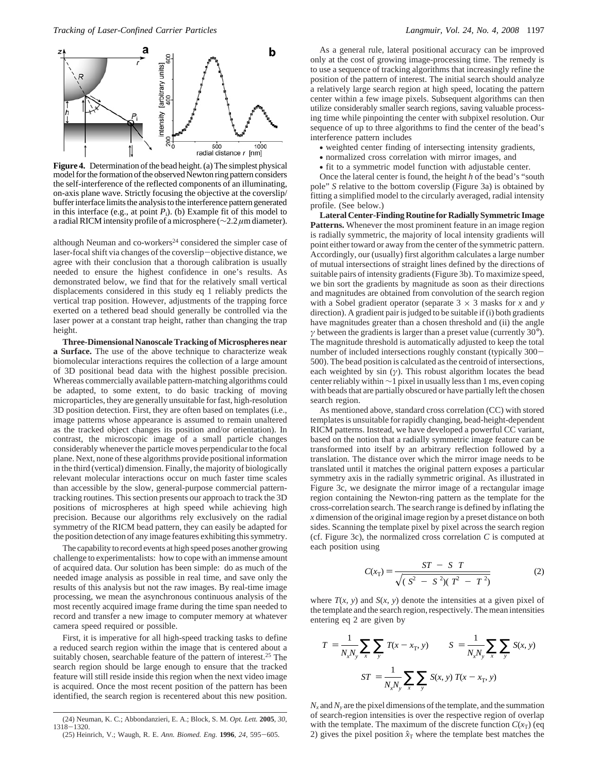

**Figure 4.** Determination of the bead height. (a) The simplest physical model for the formation of the observed Newton ring pattern considers the self-interference of the reflected components of an illuminating, on-axis plane wave. Strictly focusing the objective at the coverslip/ buffer interface limits the analysis to the interference pattern generated in this interface (e.g., at point  $P_i$ ). (b) Example fit of this model to a radial RICM intensity profile of a microsphere (∼2.2 *µ*m diameter).

although Neuman and co-workers<sup>24</sup> considered the simpler case of laser-focal shift via changes of the coverslip-objective distance, we agree with their conclusion that a thorough calibration is usually needed to ensure the highest confidence in one's results. As demonstrated below, we find that for the relatively small vertical displacements considered in this study eq 1 reliably predicts the vertical trap position. However, adjustments of the trapping force exerted on a tethered bead should generally be controlled via the laser power at a constant trap height, rather than changing the trap height.

**Three-Dimensional Nanoscale Tracking of Microspheres near a Surface.** The use of the above technique to characterize weak biomolecular interactions requires the collection of a large amount of 3D positional bead data with the highest possible precision. Whereas commercially available pattern-matching algorithms could be adapted, to some extent, to do basic tracking of moving microparticles, they are generally unsuitable for fast, high-resolution 3D position detection. First, they are often based on templates (i.e., image patterns whose appearance is assumed to remain unaltered as the tracked object changes its position and/or orientation). In contrast, the microscopic image of a small particle changes considerably whenever the particle moves perpendicular to the focal plane. Next, none of these algorithms provide positional information in the third (vertical) dimension. Finally, the majority of biologically relevant molecular interactions occur on much faster time scales than accessible by the slow, general-purpose commercial patterntracking routines. This section presents our approach to track the 3D positions of microspheres at high speed while achieving high precision. Because our algorithms rely exclusively on the radial symmetry of the RICM bead pattern, they can easily be adapted for the position detection of any image features exhibiting this symmetry.

The capability to record events at high speed poses another growing challenge to experimentalists: how to cope with an immense amount of acquired data. Our solution has been simple: do as much of the needed image analysis as possible in real time, and save only the results of this analysis but not the raw images. By real-time image processing, we mean the asynchronous continuous analysis of the most recently acquired image frame during the time span needed to record and transfer a new image to computer memory at whatever camera speed required or possible.

First, it is imperative for all high-speed tracking tasks to define a reduced search region within the image that is centered about a suitably chosen, searchable feature of the pattern of interest.<sup>25</sup> The search region should be large enough to ensure that the tracked feature will still reside inside this region when the next video image is acquired. Once the most recent position of the pattern has been identified, the search region is recentered about this new position.

As a general rule, lateral positional accuracy can be improved only at the cost of growing image-processing time. The remedy is to use a sequence of tracking algorithms that increasingly refine the position of the pattern of interest. The initial search should analyze a relatively large search region at high speed, locating the pattern center within a few image pixels. Subsequent algorithms can then utilize considerably smaller search regions, saving valuable processing time while pinpointing the center with subpixel resolution. Our sequence of up to three algorithms to find the center of the bead's interference pattern includes

- weighted center finding of intersecting intensity gradients,
- normalized cross correlation with mirror images, and
- fit to a symmetric model function with adjustable center.

Once the lateral center is found, the height *h* of the bead's "south pole" *S* relative to the bottom coverslip (Figure 3a) is obtained by fitting a simplified model to the circularly averaged, radial intensity profile. (See below.)

**Lateral Center-Finding Routine for Radially Symmetric Image Patterns.** Whenever the most prominent feature in an image region is radially symmetric, the majority of local intensity gradients will point either toward or away from the center of the symmetric pattern. Accordingly, our (usually) first algorithm calculates a large number of mutual intersections of straight lines defined by the directions of suitable pairs of intensity gradients (Figure 3b). To maximize speed, we bin sort the gradients by magnitude as soon as their directions and magnitudes are obtained from convolution of the search region with a Sobel gradient operator (separate  $3 \times 3$  masks for *x* and *y* direction). A gradient pair is judged to be suitable if (i) both gradients have magnitudes greater than a chosen threshold and (ii) the angle *γ* between the gradients is larger than a preset value (currently 30°). The magnitude threshold is automatically adjusted to keep the total number of included intersections roughly constant (typically 300- 500). The bead position is calculated as the centroid of intersections, each weighted by sin  $(y)$ . This robust algorithm locates the bead center reliably within ∼1 pixel in usually less than 1 ms, even coping with beads that are partially obscured or have partially left the chosen search region.

As mentioned above, standard cross correlation (CC) with stored templates is unsuitable for rapidly changing, bead-height-dependent RICM patterns. Instead, we have developed a powerful CC variant, based on the notion that a radially symmetric image feature can be transformed into itself by an arbitrary reflection followed by a translation. The distance over which the mirror image needs to be translated until it matches the original pattern exposes a particular symmetry axis in the radially symmetric original. As illustrated in Figure 3c, we designate the mirror image of a rectangular image region containing the Newton-ring pattern as the template for the cross-correlation search. The search range is defined by inflating the *x* dimension of the original image region by a preset distance on both sides. Scanning the template pixel by pixel across the search region (cf. Figure 3c), the normalized cross correlation *C* is computed at each position using

$$
C(x_T) = \frac{\langle ST \rangle - \langle S \rangle \langle T \rangle}{\sqrt{(\langle S^2 \rangle - \langle S \rangle^2)(\langle T^2 \rangle - \langle T \rangle^2)}}
$$
(2)

where  $T(x, y)$  and  $S(x, y)$  denote the intensities at a given pixel of the template and the search region, respectively. The mean intensities entering eq 2 are given by

$$
\langle T \rangle = \frac{1}{N_x N_y} \sum_{x} \sum_{y} T(x - x_T, y) \qquad \langle S \rangle = \frac{1}{N_x N_y} \sum_{x} \sum_{y} S(x, y)
$$

$$
\langle ST \rangle = \frac{1}{N_x N_y} \sum_{x} \sum_{y} S(x, y) T(x - x_T, y)
$$

 $N_x$  and  $N_y$  are the pixel dimensions of the template, and the summation of search-region intensities is over the respective region of overlap with the template. The maximum of the discrete function  $C(x_T)$  (eq. 2) gives the pixel position  $\hat{x}_T$  where the template best matches the

<sup>(24)</sup> Neuman, K. C.; Abbondanzieri, E. A.; Block, S. M. *Opt. Lett.* **2005**, *30*, <sup>1318</sup>-1320.

<sup>(25)</sup> Heinrich, V.; Waugh, R. E. *Ann. Biomed. Eng.* **<sup>1996</sup>**, *<sup>24</sup>*, 595-605.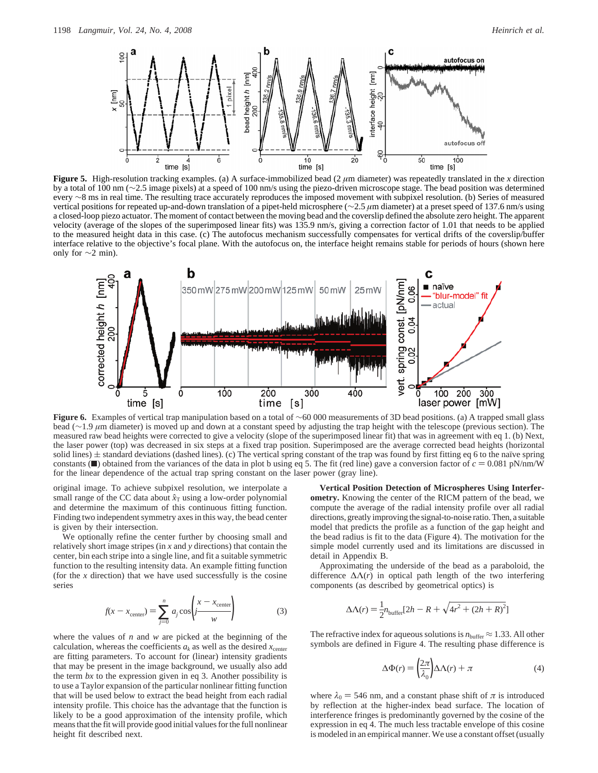

**Figure 5.** High-resolution tracking examples. (a) A surface-immobilized bead  $(2 \mu m)$  diameter) was repeatedly translated in the *x* direction by a total of 100 nm (∼2.5 image pixels) at a speed of 100 nm/s using the piezo-driven microscope stage. The bead position was determined every ∼8 ms in real time. The resulting trace accurately reproduces the imposed movement with subpixel resolution. (b) Series of measured vertical positions for repeated up-and-down translation of a pipet-held microsphere (∼2.5 *µ*m diameter) at a preset speed of 137.6 nm/s using a closed-loop piezo actuator. The moment of contact between the moving bead and the coverslip defined the absolute zero height. The apparent velocity (average of the slopes of the superimposed linear fits) was 135.9 nm/s, giving a correction factor of 1.01 that needs to be applied to the measured height data in this case. (c) The autofocus mechanism successfully compensates for vertical drifts of the coverslip/buffer interface relative to the objective's focal plane. With the autofocus on, the interface height remains stable for periods of hours (shown here only for  $\sim$ 2 min).



**Figure 6.** Examples of vertical trap manipulation based on a total of ∼60 000 measurements of 3D bead positions. (a) A trapped small glass bead (∼1.9 *µ*m diameter) is moved up and down at a constant speed by adjusting the trap height with the telescope (previous section). The measured raw bead heights were corrected to give a velocity (slope of the superimposed linear fit) that was in agreement with eq 1. (b) Next, the laser power (top) was decreased in six steps at a fixed trap position. Superimposed are the average corrected bead heights (horizontal solid lines)  $\pm$  standard deviations (dashed lines). (c) The vertical spring constant of the trap was found by first fitting eq 6 to the naı̈ve spring constants ( $\Box$ ) obtained from the variances of the data in plot b using eq 5. The fit (red line) gave a conversion factor of  $c = 0.081 \text{ pN/nm/W}$ for the linear dependence of the actual trap spring constant on the laser power (gray line).

original image. To achieve subpixel resolution, we interpolate a small range of the CC data about  $\hat{x}_T$  using a low-order polynomial and determine the maximum of this continuous fitting function. Finding two independent symmetry axes in this way, the bead center is given by their intersection.

We optionally refine the center further by choosing small and relatively short image stripes (in *x* and *y* directions) that contain the center, bin each stripe into a single line, and fit a suitable symmetric function to the resulting intensity data. An example fitting function (for the  $x$  direction) that we have used successfully is the cosine series

$$
f(x - x_{\text{center}}) = \sum_{j=0}^{n} a_j \cos\left(\frac{x - x_{\text{center}}}{w}\right) \tag{3}
$$

where the values of *n* and *w* are picked at the beginning of the calculation, whereas the coefficients  $a_k$  as well as the desired  $x_{\text{center}}$ are fitting parameters. To account for (linear) intensity gradients that may be present in the image background, we usually also add the term *bx* to the expression given in eq 3. Another possibility is to use a Taylor expansion of the particular nonlinear fitting function that will be used below to extract the bead height from each radial intensity profile. This choice has the advantage that the function is likely to be a good approximation of the intensity profile, which means that the fit will provide good initial values for the full nonlinear height fit described next.

**Vertical Position Detection of Microspheres Using Interferometry.** Knowing the center of the RICM pattern of the bead, we compute the average of the radial intensity profile over all radial directions, greatly improving the signal-to-noise ratio. Then, a suitable model that predicts the profile as a function of the gap height and the bead radius is fit to the data (Figure 4). The motivation for the simple model currently used and its limitations are discussed in detail in Appendix B.

Approximating the underside of the bead as a paraboloid, the difference  $\Delta\Lambda(r)$  in optical path length of the two interfering components (as described by geometrical optics) is

$$
\Delta\Lambda(r) = \frac{1}{2}n_{\text{buffer}}[2h - R + \sqrt{4r^2 + (2h + R)^2}]
$$

The refractive index for aqueous solutions is  $n_{\text{buffer}} \approx 1.33$ . All other symbols are defined in Figure 4. The resulting phase difference is

$$
\Delta \Phi(r) = \left(\frac{2\pi}{\lambda_0}\right) \Delta \Lambda(r) + \pi \tag{4}
$$

where  $\lambda_0 = 546$  nm, and a constant phase shift of  $\pi$  is introduced by reflection at the higher-index bead surface. The location of interference fringes is predominantly governed by the cosine of the expression in eq 4. The much less tractable envelope of this cosine is modeled in an empirical manner. We use a constant offset (usually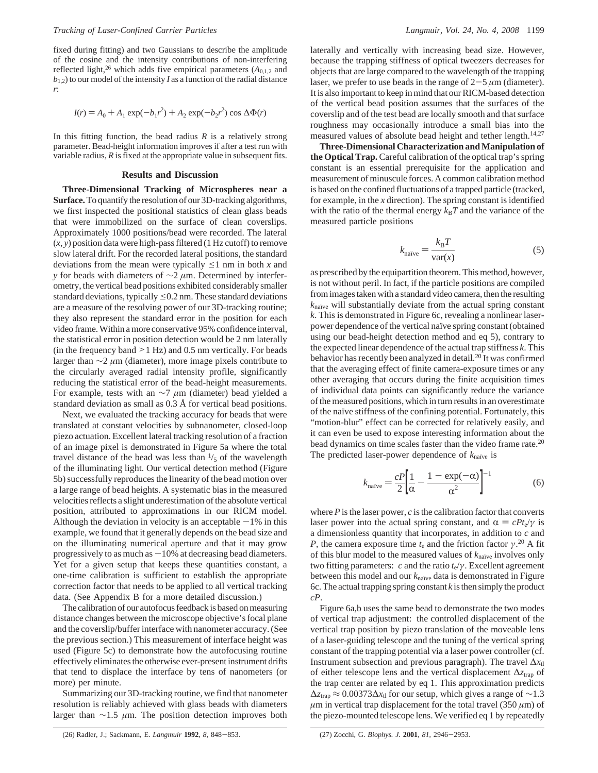fixed during fitting) and two Gaussians to describe the amplitude of the cosine and the intensity contributions of non-interfering reflected light,<sup>26</sup> which adds five empirical parameters  $(A_{0,1,2}$  and  $b_{1,2}$ ) to our model of the intensity *I* as a function of the radial distance *r*:

$$
I(r) = A_0 + A_1 \exp(-b_1 r^2) + A_2 \exp(-b_2 r^2) \cos \Delta \Phi(r)
$$

In this fitting function, the bead radius  $R$  is a relatively strong parameter. Bead-height information improves if after a test run with variable radius, *R* is fixed at the appropriate value in subsequent fits.

#### **Results and Discussion**

**Three-Dimensional Tracking of Microspheres near a Surface.**To quantify the resolution of our 3D-tracking algorithms, we first inspected the positional statistics of clean glass beads that were immobilized on the surface of clean coverslips. Approximately 1000 positions/bead were recorded. The lateral (*x, y*) position data were high-pass filtered (1 Hz cutoff) to remove slow lateral drift. For the recorded lateral positions, the standard deviations from the mean were typically  $\leq 1$  nm in both *x* and *y* for beads with diameters of ∼2 *μ*m. Determined by interferometry, the vertical bead positions exhibited considerably smaller standard deviations, typically  $\leq 0.2$  nm. These standard deviations are a measure of the resolving power of our 3D-tracking routine; they also represent the standard error in the position for each video frame. Within a more conservative 95% confidence interval, the statistical error in position detection would be 2 nm laterally (in the frequency band  $>1$  Hz) and 0.5 nm vertically. For beads larger than ∼2 *µ*m (diameter), more image pixels contribute to the circularly averaged radial intensity profile, significantly reducing the statistical error of the bead-height measurements. For example, tests with an ∼7 *µ*m (diameter) bead yielded a standard deviation as small as 0.3 Å for vertical bead positions.

Next, we evaluated the tracking accuracy for beads that were translated at constant velocities by subnanometer, closed-loop piezo actuation. Excellent lateral tracking resolution of a fraction of an image pixel is demonstrated in Figure 5a where the total travel distance of the bead was less than  $\frac{1}{5}$  of the wavelength of the illuminating light. Our vertical detection method (Figure 5b) successfully reproduces the linearity of the bead motion over a large range of bead heights. A systematic bias in the measured velocities reflects a slight underestimation of the absolute vertical position, attributed to approximations in our RICM model. Although the deviation in velocity is an acceptable  $-1\%$  in this example, we found that it generally depends on the bead size and on the illuminating numerical aperture and that it may grow progressively to as much as  $-10\%$  at decreasing bead diameters. Yet for a given setup that keeps these quantities constant, a one-time calibration is sufficient to establish the appropriate correction factor that needs to be applied to all vertical tracking data. (See Appendix B for a more detailed discussion.)

The calibration of our autofocus feedback is based on measuring distance changes between the microscope objective's focal plane and the coverslip/buffer interface with nanometer accuracy. (See the previous section.) This measurement of interface height was used (Figure 5c) to demonstrate how the autofocusing routine effectively eliminates the otherwise ever-present instrument drifts that tend to displace the interface by tens of nanometers (or more) per minute.

Summarizing our 3D-tracking routine, we find that nanometer resolution is reliably achieved with glass beads with diameters larger than ∼1.5 *µ*m. The position detection improves both laterally and vertically with increasing bead size. However, because the trapping stiffness of optical tweezers decreases for objects that are large compared to the wavelength of the trapping laser, we prefer to use beads in the range of  $2-5 \mu m$  (diameter). It is also important to keep in mind that our RICM-based detection of the vertical bead position assumes that the surfaces of the coverslip and of the test bead are locally smooth and that surface roughness may occasionally introduce a small bias into the measured values of absolute bead height and tether length.<sup>14,27</sup>

**Three-Dimensional Characterization and Manipulation of the Optical Trap.** Careful calibration of the optical trap's spring constant is an essential prerequisite for the application and measurement of minuscule forces. A common calibration method is based on the confined fluctuations of a trapped particle (tracked, for example, in the *x* direction). The spring constant is identified with the ratio of the thermal energy  $k_B T$  and the variance of the measured particle positions

$$
k_{\text{naïve}} = \frac{k_{\text{B}}T}{\text{var}(x)}\tag{5}
$$

as prescribed by the equipartition theorem. This method, however, is not without peril. In fact, if the particle positions are compiled from images taken with a standard video camera, then the resulting *k*<sub>naïve</sub> will substantially deviate from the actual spring constant *k*. This is demonstrated in Figure 6c, revealing a nonlinear laserpower dependence of the vertical naïve spring constant (obtained using our bead-height detection method and eq 5), contrary to the expected linear dependence of the actual trap stiffness *k*. This behavior has recently been analyzed in detail.20 It was confirmed that the averaging effect of finite camera-exposure times or any other averaging that occurs during the finite acquisition times of individual data points can significantly reduce the variance of the measured positions, which in turn results in an overestimate of the naïve stiffness of the confining potential. Fortunately, this "motion-blur" effect can be corrected for relatively easily, and it can even be used to expose interesting information about the bead dynamics on time scales faster than the video frame rate.20 The predicted laser-power dependence of  $k_{\text{naïve}}$  is

$$
k_{\text{naive}} = \frac{cP}{2} \left[ \frac{1}{\alpha} - \frac{1 - \exp(-\alpha)}{\alpha^2} \right]^{-1} \tag{6}
$$

where  $P$  is the laser power,  $c$  is the calibration factor that converts laser power into the actual spring constant, and  $\alpha = cP_t/\gamma$  is a dimensionless quantity that incorporates, in addition to *c* and *P*, the camera exposure time  $t_e$  and the friction factor  $\gamma$ <sup>20</sup> A fit of this blur model to the measured values of  $k_{\text{naïve}}$  involves only two fitting parameters: *c* and the ratio *t*e/*γ*. Excellent agreement between this model and our  $k_{\text{naïve}}$  data is demonstrated in Figure 6c. The actual trapping spring constant *k* is then simply the product *cP*.

Figure 6a,b uses the same bead to demonstrate the two modes of vertical trap adjustment: the controlled displacement of the vertical trap position by piezo translation of the moveable lens of a laser-guiding telescope and the tuning of the vertical spring constant of the trapping potential via a laser power controller (cf. Instrument subsection and previous paragraph). The travel  $\Delta x_t$ of either telescope lens and the vertical displacement ∆*z*trap of the trap center are related by eq 1. This approximation predicts  $\Delta z$ <sub>trap</sub> ≈ 0.00373 $\Delta x$ <sub>tl</sub> for our setup, which gives a range of ~1.3  $\mu$ m in vertical trap displacement for the total travel (350  $\mu$ m) of the piezo-mounted telescope lens. We verified eq 1 by repeatedly

<sup>(26)</sup> Radler, J.; Sackmann, E. *Langmuir* **<sup>1992</sup>**, *<sup>8</sup>*, 848-853. (27) Zocchi, G. *Biophys. J.* **<sup>2001</sup>**, *<sup>81</sup>*, 2946-2953.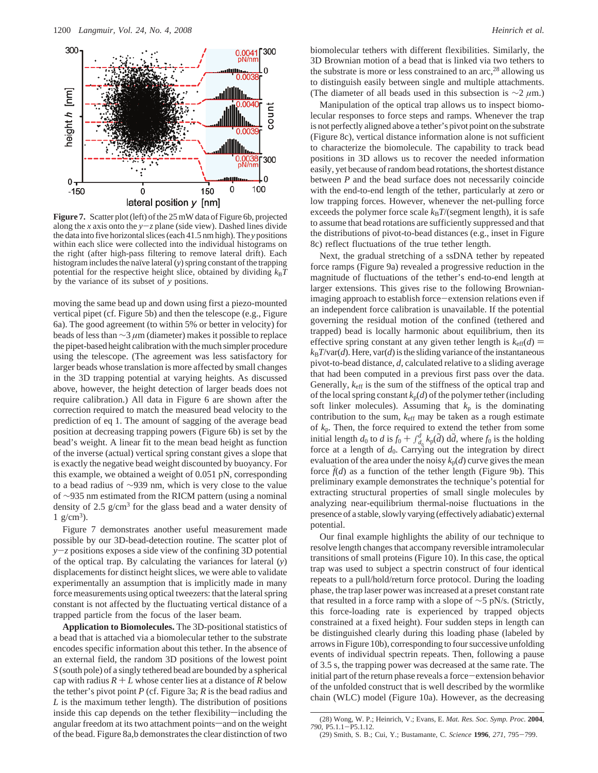

**Figure 7.** Scatter plot (left) of the 25 mW data of Figure 6b, projected along the *x* axis onto the  $y-z$  plane (side view). Dashed lines divide the data into five horizontal slices (each 41.5 nm high). The *y* positions within each slice were collected into the individual histograms on the right (after high-pass filtering to remove lateral drift). Each histogram includes the naïve lateral (*y*) spring constant of the trapping potential for the respective height slice, obtained by dividing  $k_B T$ by the variance of its subset of *y* positions.

moving the same bead up and down using first a piezo-mounted vertical pipet (cf. Figure 5b) and then the telescope (e.g., Figure 6a). The good agreement (to within 5% or better in velocity) for beads of less than ∼3 *µ*m (diameter) makes it possible to replace the pipet-based height calibration with the much simpler procedure using the telescope. (The agreement was less satisfactory for larger beads whose translation is more affected by small changes in the 3D trapping potential at varying heights. As discussed above, however, the height detection of larger beads does not require calibration.) All data in Figure 6 are shown after the correction required to match the measured bead velocity to the prediction of eq 1. The amount of sagging of the average bead position at decreasing trapping powers (Figure 6b) is set by the bead's weight. A linear fit to the mean bead height as function of the inverse (actual) vertical spring constant gives a slope that is exactly the negative bead weight discounted by buoyancy. For this example, we obtained a weight of 0.051 pN, corresponding to a bead radius of ∼939 nm, which is very close to the value of ∼935 nm estimated from the RICM pattern (using a nominal density of 2.5 g/cm3 for the glass bead and a water density of  $1 \text{ g/cm}^3$ ).

Figure 7 demonstrates another useful measurement made possible by our 3D-bead-detection routine. The scatter plot of *<sup>y</sup>*-*<sup>z</sup>* positions exposes a side view of the confining 3D potential of the optical trap. By calculating the variances for lateral (*y*) displacements for distinct height slices, we were able to validate experimentally an assumption that is implicitly made in many force measurements using optical tweezers: that the lateral spring constant is not affected by the fluctuating vertical distance of a trapped particle from the focus of the laser beam.

**Application to Biomolecules.** The 3D-positional statistics of a bead that is attached via a biomolecular tether to the substrate encodes specific information about this tether. In the absence of an external field, the random 3D positions of the lowest point *S* (south pole) of a singly tethered bead are bounded by a spherical cap with radius  $R + L$  whose center lies at a distance of  $R$  below the tether's pivot point *P* (cf. Figure 3a; *R* is the bead radius and *L* is the maximum tether length). The distribution of positions inside this cap depends on the tether flexibility—including the angular freedom at its two attachment points—and on the weight of the bead. Figure 8a,b demonstrates the clear distinction of two

biomolecular tethers with different flexibilities. Similarly, the 3D Brownian motion of a bead that is linked via two tethers to the substrate is more or less constrained to an  $\arccos 28$  allowing us to distinguish easily between single and multiple attachments. (The diameter of all beads used in this subsection is ∼2 *µ*m.)

Manipulation of the optical trap allows us to inspect biomolecular responses to force steps and ramps. Whenever the trap is not perfectly aligned above a tether's pivot point on the substrate (Figure 8c), vertical distance information alone is not sufficient to characterize the biomolecule. The capability to track bead positions in 3D allows us to recover the needed information easily, yet because of random bead rotations, the shortest distance between *P* and the bead surface does not necessarily coincide with the end-to-end length of the tether, particularly at zero or low trapping forces. However, whenever the net-pulling force exceeds the polymer force scale  $k_B T$ /(segment length), it is safe to assume that bead rotations are sufficiently suppressed and that the distributions of pivot-to-bead distances (e.g., inset in Figure 8c) reflect fluctuations of the true tether length.

Next, the gradual stretching of a ssDNA tether by repeated force ramps (Figure 9a) revealed a progressive reduction in the magnitude of fluctuations of the tether's end-to-end length at larger extensions. This gives rise to the following Brownianimaging approach to establish force-extension relations even if an independent force calibration is unavailable. If the potential governing the residual motion of the confined (tethered and trapped) bead is locally harmonic about equilibrium, then its effective spring constant at any given tether length is  $k_{\text{eff}}(d)$  =  $k_B T/var(d)$ . Here, var(*d*) is the sliding variance of the instantaneous pivot-to-bead distance, *d*, calculated relative to a sliding average that had been computed in a previous first pass over the data. Generally,  $k_{\text{eff}}$  is the sum of the stiffness of the optical trap and of the local spring constant  $k_p(d)$  of the polymer tether (including soft linker molecules). Assuming that  $k_p$  is the dominating contribution to the sum, *k*eff may be taken as a rough estimate of *k*p. Then, the force required to extend the tether from some initial length  $d_0$  to  $d$  is  $f_0 + f_{d_0}^d k_p(\tilde{d}) d\tilde{d}$ , where  $f_0$  is the holding force at a length of  $d_0$ . Carrying out the integration by direct force at a length of  $d_0$ . Carrying out the integration by direct evaluation of the area under the noisy  $k_p(d)$  curve gives the mean force  $\bar{f}(d)$  as a function of the tether length (Figure 9b). This preliminary example demonstrates the technique's potential for extracting structural properties of small single molecules by analyzing near-equilibrium thermal-noise fluctuations in the presence of a stable, slowly varying (effectively adiabatic) external potential.

Our final example highlights the ability of our technique to resolve length changes that accompany reversible intramolecular transitions of small proteins (Figure 10). In this case, the optical trap was used to subject a spectrin construct of four identical repeats to a pull/hold/return force protocol. During the loading phase, the trap laser power was increased at a preset constant rate that resulted in a force ramp with a slope of ∼5 pN/s. (Strictly, this force-loading rate is experienced by trapped objects constrained at a fixed height). Four sudden steps in length can be distinguished clearly during this loading phase (labeled by arrows in Figure 10b), corresponding to four successive unfolding events of individual spectrin repeats. Then, following a pause of 3.5 s, the trapping power was decreased at the same rate. The initial part of the return phase reveals a force-extension behavior of the unfolded construct that is well described by the wormlike chain (WLC) model (Figure 10a). However, as the decreasing

<sup>(28)</sup> Wong, W. P.; Heinrich, V.; Evans, E. *Mat. Res. Soc. Symp. Proc.* **2004**, *<sup>790</sup>*, P5.1.1-P5.1.12. (29) Smith, S. B.; Cui, Y.; Bustamante, C. *Science* **<sup>1996</sup>**, *<sup>271</sup>*, 795-799.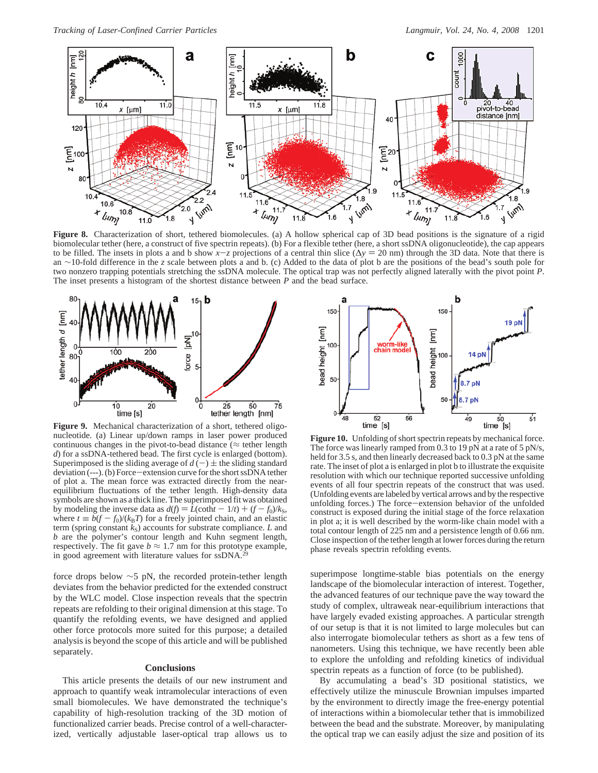

**Figure 8.** Characterization of short, tethered biomolecules. (a) A hollow spherical cap of 3D bead positions is the signature of a rigid biomolecular tether (here, a construct of five spectrin repeats). (b) For a flexible tether (here, a short ssDNA oligonucleotide), the cap appears to be filled. The insets in plots a and b show  $x-z$  projections of a central thin slice ( $\Delta y = 20$  nm) through the 3D data. Note that there is an ∼10-fold difference in the *z* scale between plots a and b. (c) Added to the data of plot b are the positions of the bead's south pole for two nonzero trapping potentials stretching the ssDNA molecule. The optical trap was not perfectly aligned laterally with the pivot point *P*. The inset presents a histogram of the shortest distance between *P* and the bead surface.



**Figure 9.** Mechanical characterization of a short, tethered oligonucleotide. (a) Linear up/down ramps in laser power produced continuous changes in the pivot-to-bead distance ( $\approx$  tether length *d*) for a ssDNA-tethered bead. The first cycle is enlarged (bottom). Superimposed is the sliding average of  $d(-) \pm$  the sliding standard deviation (---). (b) Force-extension curve for the short ssDNA tether of plot a. The mean force was extracted directly from the nearequilibrium fluctuations of the tether length. High-density data symbols are shown as a thick line. The superimposed fit was obtained by modeling the inverse data as  $d(f) = \tilde{L}(\coth f - 1/t) + (f - f_0)/k_S$ , where  $t \equiv b(f - f_0)/(k_B T)$  for a freely jointed chain, and an elastic term (spring constant  $k<sub>S</sub>$ ) accounts for substrate compliance. *L* and *b* are the polymer's contour length and Kuhn segment length, respectively. The fit gave  $b \approx 1.7$  nm for this prototype example, in good agreement with literature values for ssDNA.<sup>2</sup>

force drops below  $\sim$ 5 pN, the recorded protein-tether length deviates from the behavior predicted for the extended construct by the WLC model. Close inspection reveals that the spectrin repeats are refolding to their original dimension at this stage. To quantify the refolding events, we have designed and applied other force protocols more suited for this purpose; a detailed analysis is beyond the scope of this article and will be published separately.

# **Conclusions**

This article presents the details of our new instrument and approach to quantify weak intramolecular interactions of even small biomolecules. We have demonstrated the technique's capability of high-resolution tracking of the 3D motion of functionalized carrier beads. Precise control of a well-characterized, vertically adjustable laser-optical trap allows us to



**Figure 10.** Unfolding of short spectrin repeats by mechanical force. The force was linearly ramped from 0.3 to 19 pN at a rate of 5 pN/s, held for 3.5 s, and then linearly decreased back to 0.3 pN at the same rate. The inset of plot a is enlarged in plot b to illustrate the exquisite resolution with which our technique reported successive unfolding events of all four spectrin repeats of the construct that was used. (Unfolding events are labeled by vertical arrows and by the respective unfolding forces.) The force-extension behavior of the unfolded construct is exposed during the initial stage of the force relaxation in plot a; it is well described by the worm-like chain model with a total contour length of 225 nm and a persistence length of 0.66 nm. Close inspection of the tether length at lower forces during the return phase reveals spectrin refolding events.

superimpose longtime-stable bias potentials on the energy landscape of the biomolecular interaction of interest. Together, the advanced features of our technique pave the way toward the study of complex, ultraweak near-equilibrium interactions that have largely evaded existing approaches. A particular strength of our setup is that it is not limited to large molecules but can also interrogate biomolecular tethers as short as a few tens of nanometers. Using this technique, we have recently been able to explore the unfolding and refolding kinetics of individual spectrin repeats as a function of force (to be published).

By accumulating a bead's 3D positional statistics, we effectively utilize the minuscule Brownian impulses imparted by the environment to directly image the free-energy potential of interactions within a biomolecular tether that is immobilized between the bead and the substrate. Moreover, by manipulating the optical trap we can easily adjust the size and position of its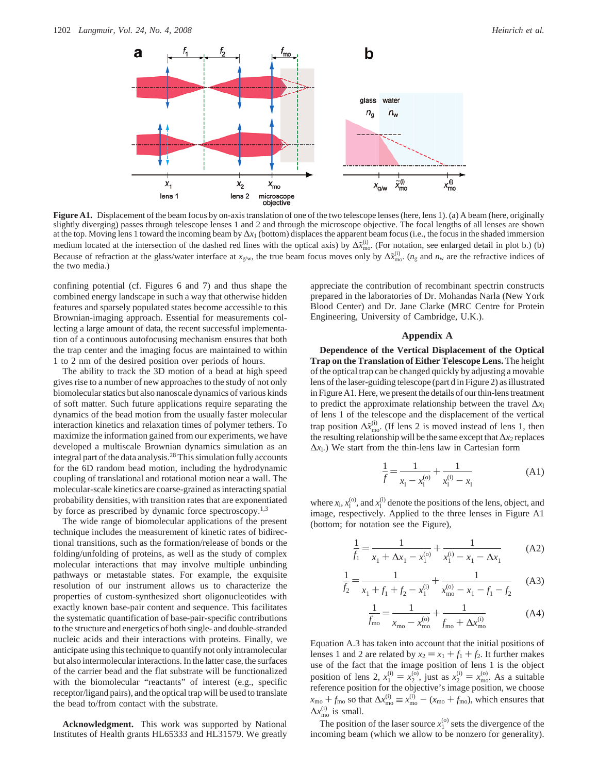

Figure A1. Displacement of the beam focus by on-axis translation of one of the two telescope lenses (here, lens 1). (a) A beam (here, originally slightly diverging) passes through telescope lenses 1 and 2 and through the microscope objective. The focal lengths of all lenses are shown at the top. Moving lens 1 toward the incoming beam by ∆*x*<sup>1</sup> (bottom) displaces the apparent beam focus (i.e., the focus in the shaded immersion medium located at the intersection of the dashed red lines with the optical axis) by  $\Delta \tilde{x}_{\text{mo}}^{(i)}$ . (For notation, see enlarged detail in plot b.) (b) Because of refraction at the glass/water interface at  $x_{\text{g/w}}$ , the true beam focus moves only by  $\Delta \tilde{x}_{\text{mo}}^{(i)}$ . ( $n_{\text{g}}$  and  $n_{\text{w}}$  are the refractive indices of the two media.)

confining potential (cf. Figures 6 and 7) and thus shape the combined energy landscape in such a way that otherwise hidden features and sparsely populated states become accessible to this Brownian-imaging approach. Essential for measurements collecting a large amount of data, the recent successful implementation of a continuous autofocusing mechanism ensures that both the trap center and the imaging focus are maintained to within 1 to 2 nm of the desired position over periods of hours.

The ability to track the 3D motion of a bead at high speed gives rise to a number of new approaches to the study of not only biomolecular statics but also nanoscale dynamics of various kinds of soft matter. Such future applications require separating the dynamics of the bead motion from the usually faster molecular interaction kinetics and relaxation times of polymer tethers. To maximize the information gained from our experiments, we have developed a multiscale Brownian dynamics simulation as an integral part of the data analysis.28 This simulation fully accounts for the 6D random bead motion, including the hydrodynamic coupling of translational and rotational motion near a wall. The molecular-scale kinetics are coarse-grained as interacting spatial probability densities, with transition rates that are exponentiated by force as prescribed by dynamic force spectroscopy.1,3

The wide range of biomolecular applications of the present technique includes the measurement of kinetic rates of bidirectional transitions, such as the formation/release of bonds or the folding/unfolding of proteins, as well as the study of complex molecular interactions that may involve multiple unbinding pathways or metastable states. For example, the exquisite resolution of our instrument allows us to characterize the properties of custom-synthesized short oligonucleotides with exactly known base-pair content and sequence. This facilitates the systematic quantification of base-pair-specific contributions to the structure and energetics of both single- and double-stranded nucleic acids and their interactions with proteins. Finally, we anticipate using this technique to quantify not only intramolecular but also intermolecular interactions. In the latter case, the surfaces of the carrier bead and the flat substrate will be functionalized with the biomolecular "reactants" of interest (e.g., specific receptor/ligand pairs), and the optical trap will be used to translate the bead to/from contact with the substrate.

**Acknowledgment.** This work was supported by National Institutes of Health grants HL65333 and HL31579. We greatly appreciate the contribution of recombinant spectrin constructs prepared in the laboratories of Dr. Mohandas Narla (New York Blood Center) and Dr. Jane Clarke (MRC Centre for Protein Engineering, University of Cambridge, U.K.).

## **Appendix A**

**Dependence of the Vertical Displacement of the Optical Trap on the Translation of Either Telescope Lens.** The height of the optical trap can be changed quickly by adjusting a movable lens of the laser-guiding telescope (part d in Figure 2) as illustrated in Figure A1. Here, we present the details of our thin-lens treatment to predict the approximate relationship between the travel Δ*x*<sub>l</sub> of lens 1 of the telescope and the displacement of the vertical trap position  $\Delta \tilde{x}_{\text{mo}}^{(i)}$ . (If lens 2 is moved instead of lens 1, then the resulting relationship will be the same except that∆*x*<sup>2</sup> replaces  $Δx<sub>l</sub>$ .) We start from the thin-lens law in Cartesian form

$$
\frac{1}{f} = \frac{1}{x_1 - x_1^{(0)}} + \frac{1}{x_1^{(i)} - x_1}
$$
(A1)

where  $x_1$ ,  $x_1^{(0)}$ , and  $x_1^{(i)}$  denote the positions of the lens, object, and image, respectively. Applied to the three lenses in Figure A1 (bottom; for notation see the Figure),

$$
\frac{1}{f_1} = \frac{1}{x_1 + \Delta x_1 - x_1^{(0)}} + \frac{1}{x_1^{(i)} - x_1 - \Delta x_1}
$$
 (A2)

$$
\frac{1}{f_2} = \frac{1}{x_1 + f_1 + f_2 - x_1^{(i)}} + \frac{1}{x_{\text{mo}}^{(o)} - x_1 - f_1 - f_2}
$$
 (A3)

$$
\frac{1}{f_{\rm mo}} = \frac{1}{x_{\rm mo} - x_{\rm mo}^{(0)}} + \frac{1}{f_{\rm mo} + \Delta x_{\rm mo}^{(i)}}
$$
(A4)

Equation A.3 has taken into account that the initial positions of lenses 1 and 2 are related by  $x_2 = x_1 + f_1 + f_2$ . It further makes use of the fact that the image position of lens 1 is the object position of lens 2,  $x_1^{(i)} = x_2^{(0)}$ , just as  $x_2^{(i)} = x_{\text{mo}}^{(0)}$ . As a suitable reference position for the objective's image position we choose reference position for the objective's image position, we choose  $x_{\text{mo}} + f_{\text{mo}}$  so that  $\Delta x_{\text{mo}}^{(i)} \equiv x_{\text{mo}}^{(i)} - (x_{\text{mo}} + f_{\text{mo}})$ , which ensures that  $\Delta x_{\text{mo}}^{(i)}$  is small.

The position of the laser source  $x_1^{(0)}$  sets the divergence of the incoming beam (which we allow to be nonzero for generality).